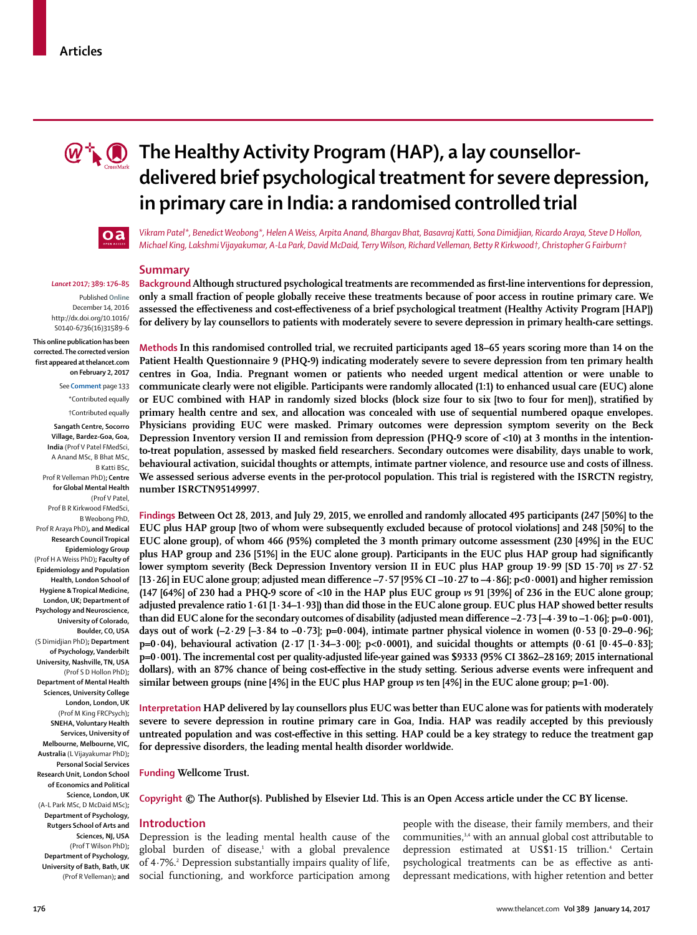

# *M***<sup>+</sup><sub><b>R (0)** The Healthy Activity Program (HAP), a lay counsellor-</sub> **delivered brief psychological treatment for severe depression, in primary care in India: a randomised controlled trial**



*Vikram Patel\*, Benedict Weobong\*, Helen A Weiss, Arpita Anand, Bhargav Bhat, Basavraj Katti, Sona Dimidjian, Ricardo Araya, Steve D Hollon, Michael King, Lakshmi Vijayakumar, A-La Park, David McDaid, Terry Wilson, Richard Velleman, Betty R Kirkwood†, Christopher G Fairburn†*

#### *Lancet* **2017; 389: 176–85**

Published **Online** December 14, 2016 http://dx.doi.org/10.1016/ S0140-6736(16)31589-6 **This online publication has been corrected. The corrected version first appeared at thelancet.com on February 2, 2017**

See **Comment** page 133

\*Contributed equally †Contributed equally

**Sangath Centre, Socorro Village, Bardez-Goa, Goa, India** (Prof V Patel FMedSci, A Anand MSc, B Bhat MSc, B Katti BSc, Prof R Velleman PhD)**; Centre for Global Mental Health**  (Prof V Patel, Prof B R Kirkwood FMedSci, B Weobong PhD, Prof R Araya PhD)**, and Medical Research Council Tropical Epidemiology Group**  (Prof H A Weiss PhD)**; Faculty of Epidemiology and Population Health, London School of Hygiene & Tropical Medicine, London, UK; Department of Psychology and Neuroscience, University of Colorado, Boulder, CO, USA**  (S Dimidjian PhD)**; Department of Psychology, Vanderbilt University, Nashville, TN, USA**  (Prof S D Hollon PhD)**; Department of Mental Health Sciences, University College London, London, UK** (Prof M King FRCPsych)**; SNEHA, Voluntary Health Services, University of Melbourne, Melbourne, VIC, Australia** (L Vijayakumar PhD)**; Personal Social Services Research Unit, London School of Economics and Political Science, London, UK**  (A-L Park MSc, D McDaid MSc)**; Department of Psychology, Rutgers School of Arts and Sciences, NJ, USA** (Prof T Wilson PhD)**; Department of Psychology, University of Bath, Bath, UK**

(Prof R Velleman)**; and**

**Summary**

Background Although structured psychological treatments are recommended as first-line interventions for depression, **only a small fraction of people globally receive these treatments because of poor access in routine primary care. We**  assessed the effectiveness and cost-effectiveness of a brief psychological treatment (Healthy Activity Program [HAP]) **for delivery by lay counsellors to patients with moderately severe to severe depression in primary health-care settings.**

**Methods In this randomised controlled trial, we recruited participants aged 18–65 years scoring more than 14 on the Patient Health Questionnaire 9 (PHQ-9) indicating moderately severe to severe depression from ten primary health centres in Goa, India. Pregnant women or patients who needed urgent medical attention or were unable to communicate clearly were not eligible. Participants were randomly allocated (1:1) to enhanced usual care (EUC) alone**  or EUC combined with HAP in randomly sized blocks (block size four to six [two to four for men]), stratified by **primary health centre and sex, and allocation was concealed with use of sequential numbered opaque envelopes. Physicians providing EUC were masked. Primary outcomes were depression symptom severity on the Beck Depression Inventory version II and remission from depression (PHQ-9 score of <10) at 3 months in the intention**to-treat population, assessed by masked field researchers. Secondary outcomes were disability, days unable to work, **behavioural activation, suicidal thoughts or attempts, intimate partner violence, and resource use and costs of illness. We assessed serious adverse events in the per-protocol population. This trial is registered with the ISRCTN registry, number ISRCTN95149997.**

**Findings Between Oct 28, 2013, and July 29, 2015, we enrolled and randomly allocated 495 participants (247 [50%] to the EUC plus HAP group [two of whom were subsequently excluded because of protocol violations] and 248 [50%] to the EUC alone group), of whom 466 (95%) completed the 3 month primary outcome assessment (230 [49%] in the EUC plus HAP group and 236 [51%] in the EUC alone group). Participants in the EUC plus HAP group had significantly lower symptom severity (Beck Depression Inventory version II in EUC plus HAP group 19·99 [SD 15·70]** *vs* **27·52** [13 · 26] in EUC alone group; adjusted mean difference -7 · 57 [95% CI -10 · 27 to -4 · 86]; p<0 · 0001) and higher remission **(147 [64%] of 230 had a PHQ-9 score of <10 in the HAP plus EUC group** *vs* **91 [39%] of 236 in the EUC alone group; adjusted prevalence ratio 1·61 [1·34–1·93]) than did those in the EUC alone group. EUC plus HAP showed better results**  than did EUC alone for the secondary outcomes of disability (adjusted mean difference  $-2.73$   $[-4.39$  to  $-1.06]$ ; p=0 $.001$ ), **days out of work (–2·29 [–3·84 to –0·73]; p=0·004), intimate partner physical violence in women (0·53 [0·29–0·96]; p=0·04), behavioural activation (2·17 [1·34–3·00]; p<0·0001), and suicidal thoughts or attempts (0·61 [0·45–0·83]; p=0·001). The incremental cost per quality-adjusted life-year gained was \$9333 (95% CI 3862–28 169; 2015 international**  dollars), with an 87% chance of being cost-effective in the study setting. Serious adverse events were infrequent and similar between groups (nine  $[4\%]$  in the EUC plus HAP group *vs* ten  $[4\%]$  in the EUC alone group;  $p=1.00$ ).

**Interpretation HAP delivered by lay counsellors plus EUC was better than EUC alone was for patients with moderately severe to severe depression in routine primary care in Goa, India. HAP was readily accepted by this previously**  untreated population and was cost-effective in this setting. HAP could be a key strategy to reduce the treatment gap **for depressive disorders, the leading mental health disorder worldwide.**

**Funding Wellcome Trust.**

**Copyright © The Author(s). Published by Elsevier Ltd. This is an Open Access article under the CC BY license.**

#### **Introduction**

Depression is the leading mental health cause of the global burden of disease,<sup>1</sup> with a global prevalence of 4.7%.<sup>2</sup> Depression substantially impairs quality of life, social functioning, and workforce participation among

people with the disease, their family members, and their communities,<sup>3,4</sup> with an annual global cost attributable to depression estimated at US\$1.15 trillion.<sup>4</sup> Certain psychological treatments can be as effective as antidepressant medications, with higher retention and better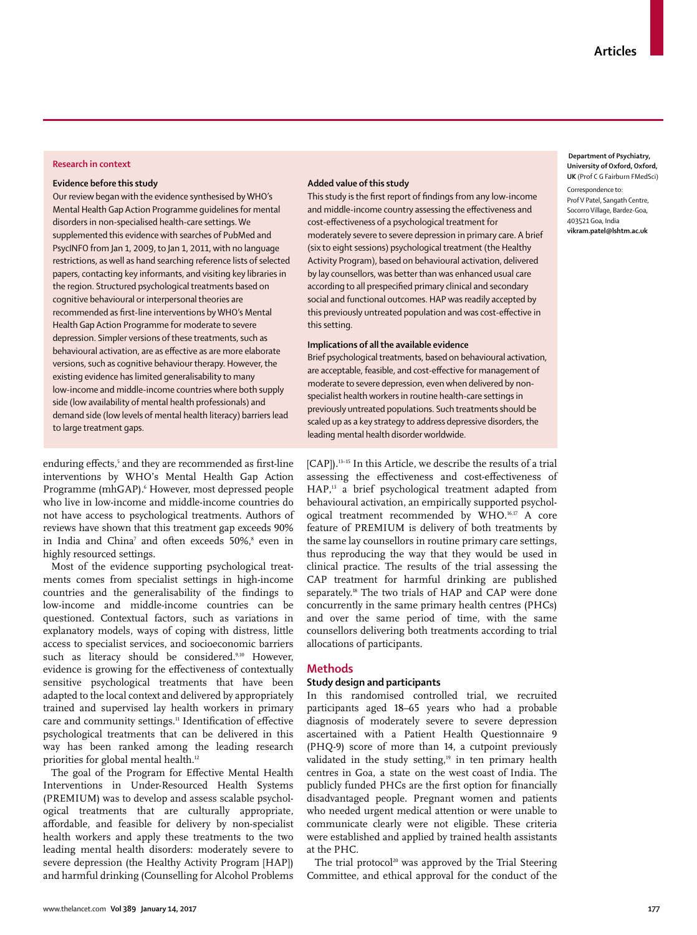#### **Research in context**

#### **Evidence before this study**

Our review began with the evidence synthesised by WHO's Mental Health Gap Action Programme guidelines for mental disorders in non-specialised health-care settings. We supplemented this evidence with searches of PubMed and PsycINFO from Jan 1, 2009, to Jan 1, 2011, with no language restrictions, as well as hand searching reference lists of selected papers, contacting key informants, and visiting key libraries in the region. Structured psychological treatments based on cognitive behavioural or interpersonal theories are recommended as first-line interventions by WHO's Mental Health Gap Action Programme for moderate to severe depression. Simpler versions of these treatments, such as behavioural activation, are as effective as are more elaborate versions, such as cognitive behaviour therapy. However, the existing evidence has limited generalisability to many low-income and middle-income countries where both supply side (low availability of mental health professionals) and demand side (low levels of mental health literacy) barriers lead to large treatment gaps.

enduring effects,<sup>s</sup> and they are recommended as first-line interventions by WHO's Mental Health Gap Action Programme (mhGAP).<sup>6</sup> However, most depressed people who live in low-income and middle-income countries do not have access to psychological treatments. Authors of reviews have shown that this treatment gap exceeds 90% in India and China<sup>7</sup> and often exceeds 50%,<sup>8</sup> even in highly resourced settings.

Most of the evidence supporting psychological treatments comes from specialist settings in high-income countries and the generalisability of the findings to low-income and middle-income countries can be questioned. Contextual factors, such as variations in explanatory models, ways of coping with distress, little access to specialist services, and socioeconomic barriers such as literacy should be considered.<sup>9,10</sup> However, evidence is growing for the effectiveness of contextually sensitive psychological treatments that have been adapted to the local context and delivered by appropriately trained and supervised lay health workers in primary care and community settings.<sup>11</sup> Identification of effective psychological treatments that can be delivered in this way has been ranked among the leading research priorities for global mental health.<sup>12</sup>

The goal of the Program for Effective Mental Health Interventions in Under-Resourced Health Systems (PREMIUM) was to develop and assess scalable psychological treatments that are culturally appropriate, affordable, and feasible for delivery by non-specialist health workers and apply these treatments to the two leading mental health disorders: moderately severe to severe depression (the Healthy Activity Program [HAP]) and harmful drinking (Counselling for Alcohol Problems

#### **Added value of this study**

This study is the first report of findings from any low-income and middle-income country assessing the effectiveness and cost-effectiveness of a psychological treatment for moderately severe to severe depression in primary care. A brief (six to eight sessions) psychological treatment (the Healthy Activity Program), based on behavioural activation, delivered by lay counsellors, was better than was enhanced usual care according to all prespecified primary clinical and secondary social and functional outcomes. HAP was readily accepted by this previously untreated population and was cost-effective in this setting.

#### **Implications of all the available evidence**

Brief psychological treatments, based on behavioural activation, are acceptable, feasible, and cost-effective for management of moderate to severe depression, even when delivered by nonspecialist health workers in routine health-care settings in previously untreated populations. Such treatments should be scaled up as a key strategy to address depressive disorders, the leading mental health disorder worldwide.

[CAP]).13–15 In this Article, we describe the results of a trial assessing the effectiveness and cost-effectiveness of HAP,13 a brief psychological treatment adapted from behavioural activation, an empirically supported psychological treatment recommended by WHO.16,17 A core feature of PREMIUM is delivery of both treatments by the same lay counsellors in routine primary care settings, thus reproducing the way that they would be used in clinical practice. The results of the trial assessing the CAP treatment for harmful drinking are published separately.<sup>18</sup> The two trials of HAP and CAP were done concurrently in the same primary health centres (PHCs) and over the same period of time, with the same counsellors delivering both treatments according to trial allocations of participants.

#### **Methods**

## **Study design and participants**

In this randomised controlled trial, we recruited participants aged 18–65 years who had a probable diagnosis of moderately severe to severe depression ascertained with a Patient Health Questionnaire 9 (PHQ-9) score of more than 14, a cutpoint previously validated in the study setting,<sup>19</sup> in ten primary health centres in Goa, a state on the west coast of India. The publicly funded PHCs are the first option for financially disadvantaged people. Pregnant women and patients who needed urgent medical attention or were unable to communicate clearly were not eligible. These criteria were established and applied by trained health assistants at the PHC.

The trial protocol<sup>20</sup> was approved by the Trial Steering Committee, and ethical approval for the conduct of the

 **Department of Psychiatry, University of Oxford, Oxford, UK** (Prof C G Fairburn FMedSci)

Correspondence to: Prof V Patel, Sangath Centre, Socorro Village, Bardez-Goa, 403521 Goa, India **vikram.patel@lshtm.ac.uk**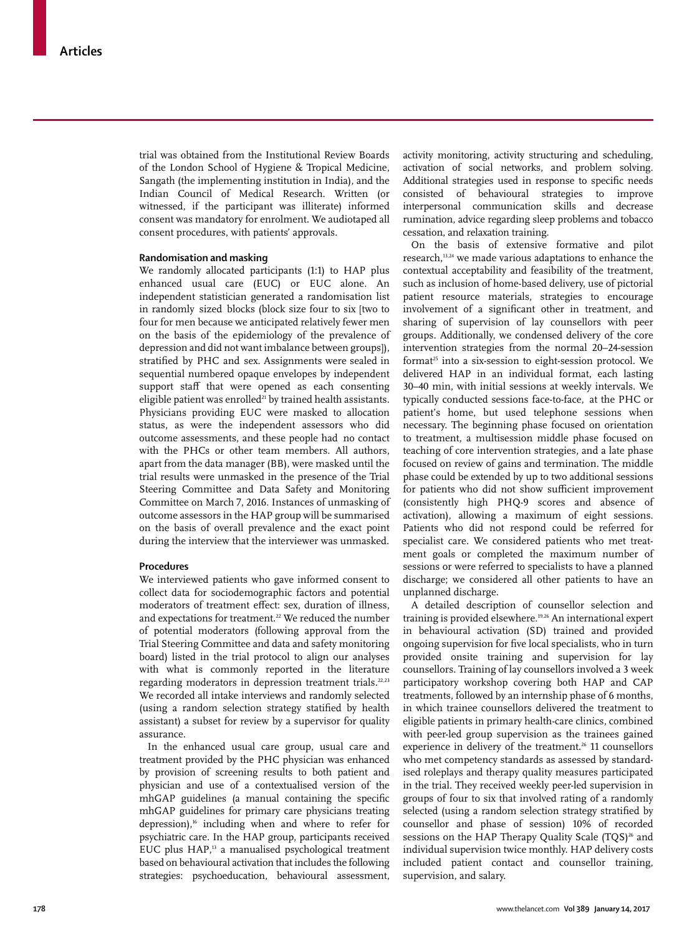trial was obtained from the Institutional Review Boards of the London School of Hygiene & Tropical Medicine, Sangath (the implementing institution in India), and the Indian Council of Medical Research. Written (or witnessed, if the participant was illiterate) informed consent was mandatory for enrolment. We audiotaped all consent procedures, with patients' approvals.

#### **Randomisation and masking**

We randomly allocated participants (1:1) to HAP plus enhanced usual care (EUC) or EUC alone. An independent statistician generated a randomisation list in randomly sized blocks (block size four to six [two to four for men because we anticipated relatively fewer men on the basis of the epidemiology of the prevalence of depression and did not want imbalance between groups]), stratified by PHC and sex. Assignments were sealed in sequential numbered opaque envelopes by independent support staff that were opened as each consenting eligible patient was enrolled $21$  by trained health assistants. Physicians providing EUC were masked to allocation status, as were the independent assessors who did outcome assessments, and these people had no contact with the PHCs or other team members. All authors, apart from the data manager (BB), were masked until the trial results were unmasked in the presence of the Trial Steering Committee and Data Safety and Monitoring Committee on March 7, 2016. Instances of unmasking of outcome assessors in the HAP group will be summarised on the basis of overall prevalence and the exact point during the interview that the interviewer was unmasked.

#### **Procedures**

We interviewed patients who gave informed consent to collect data for sociodemographic factors and potential moderators of treatment effect: sex, duration of illness, and expectations for treatment.<sup>22</sup> We reduced the number of potential moderators (following approval from the Trial Steering Committee and data and safety monitoring board) listed in the trial protocol to align our analyses with what is commonly reported in the literature regarding moderators in depression treatment trials.<sup>22,23</sup> We recorded all intake interviews and randomly selected (using a random selection strategy statified by health assistant) a subset for review by a supervisor for quality assurance.

In the enhanced usual care group, usual care and treatment provided by the PHC physician was enhanced by provision of screening results to both patient and physician and use of a contextualised version of the mhGAP guidelines (a manual containing the specific mhGAP guidelines for primary care physicians treating depression),<sup>16</sup> including when and where to refer for psychiatric care. In the HAP group, participants received EUC plus HAP,<sup>13</sup> a manualised psychological treatment based on behavioural activation that includes the following strategies: psychoeducation, behavioural assessment,

activity monitoring, activity structuring and scheduling, activation of social networks, and problem solving. Additional strategies used in response to specific needs consisted of behavioural strategies to improve interpersonal communication skills and decrease rumination, advice regarding sleep problems and tobacco cessation, and relaxation training.

On the basis of extensive formative and pilot research,<sup>13,24</sup> we made various adaptations to enhance the contextual acceptability and feasibility of the treatment, such as inclusion of home-based delivery, use of pictorial patient resource materials, strategies to encourage involvement of a significant other in treatment, and sharing of supervision of lay counsellors with peer groups. Additionally, we condensed delivery of the core intervention strategies from the normal 20–24-session format<sup>25</sup> into a six-session to eight-session protocol. We delivered HAP in an individual format, each lasting 30–40 min, with initial sessions at weekly intervals. We typically conducted sessions face-to-face, at the PHC or patient's home, but used telephone sessions when necessary. The beginning phase focused on orientation to treatment, a multisession middle phase focused on teaching of core intervention strategies, and a late phase focused on review of gains and termination. The middle phase could be extended by up to two additional sessions for patients who did not show sufficient improvement (consistently high PHQ-9 scores and absence of activation), allowing a maximum of eight sessions. Patients who did not respond could be referred for specialist care. We considered patients who met treatment goals or completed the maximum number of sessions or were referred to specialists to have a planned discharge; we considered all other patients to have an unplanned discharge.

A detailed description of counsellor selection and training is provided elsewhere.<sup>19,26</sup> An international expert in behavioural activation (SD) trained and provided ongoing supervision for five local specialists, who in turn provided onsite training and supervision for lay counsellors. Training of lay counsellors involved a 3 week participatory workshop covering both HAP and CAP treatments, followed by an internship phase of 6 months, in which trainee counsellors delivered the treatment to eligible patients in primary health-care clinics, combined with peer-led group supervision as the trainees gained experience in delivery of the treatment.<sup>26</sup> 11 counsellors who met competency standards as assessed by standardised roleplays and therapy quality measures participated in the trial. They received weekly peer-led supervision in groups of four to six that involved rating of a randomly selected (using a random selection strategy stratified by counsellor and phase of session) 10% of recorded sessions on the HAP Therapy Quality Scale  $(TQS)^{26}$  and individual supervision twice monthly. HAP delivery costs included patient contact and counsellor training, supervision, and salary.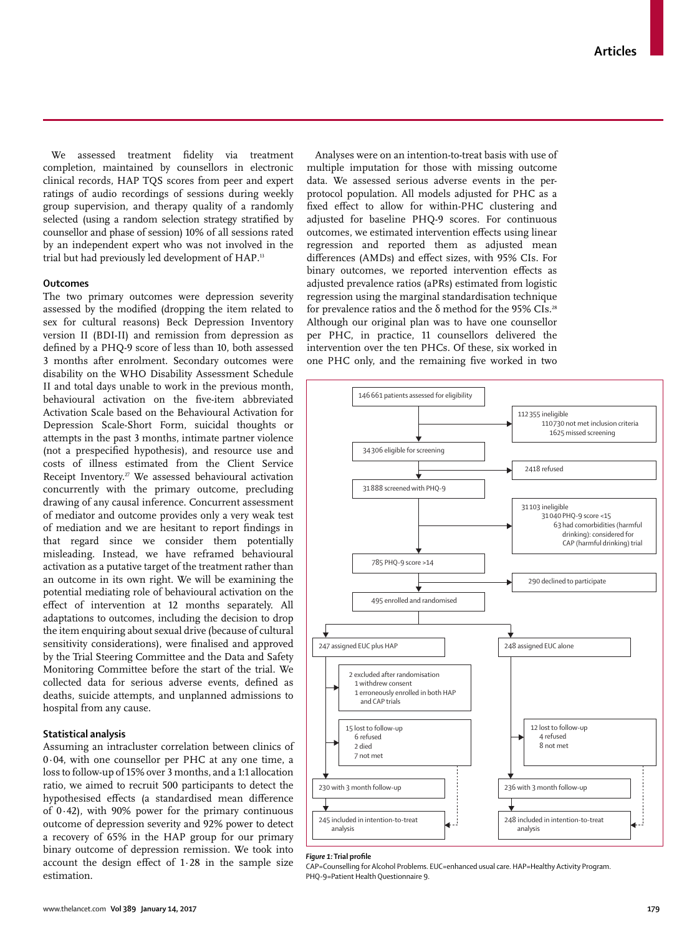We assessed treatment fidelity via treatment completion, maintained by counsellors in electronic clinical records, HAP TQS scores from peer and expert ratings of audio recordings of sessions during weekly group supervision, and therapy quality of a randomly selected (using a random selection strategy stratified by counsellor and phase of session) 10% of all sessions rated by an independent expert who was not involved in the trial but had previously led development of HAP.<sup>13</sup>

#### **Outcomes**

The two primary outcomes were depression severity assessed by the modified (dropping the item related to sex for cultural reasons) Beck Depression Inventory version II (BDI-II) and remission from depression as defined by a PHQ-9 score of less than 10, both assessed 3 months after enrolment. Secondary outcomes were disability on the WHO Disability Assessment Schedule II and total days unable to work in the previous month, behavioural activation on the five-item abbreviated Activation Scale based on the Behavioural Activation for Depression Scale-Short Form, suicidal thoughts or attempts in the past 3 months, intimate partner violence (not a prespecified hypothesis), and resource use and costs of illness estimated from the Client Service Receipt Inventory.<sup>27</sup> We assessed behavioural activation concurrently with the primary outcome, precluding drawing of any causal inference. Concurrent assessment of mediator and outcome provides only a very weak test of mediation and we are hesitant to report findings in that regard since we consider them potentially misleading. Instead, we have reframed behavioural activation as a putative target of the treatment rather than an outcome in its own right. We will be examining the potential mediating role of behavioural activation on the effect of intervention at 12 months separately. All adaptations to outcomes, including the decision to drop the item enquiring about sexual drive (because of cultural sensitivity considerations), were finalised and approved by the Trial Steering Committee and the Data and Safety Monitoring Committee before the start of the trial. We collected data for serious adverse events, defined as deaths, suicide attempts, and unplanned admissions to hospital from any cause.

#### **Statistical analysis**

Assuming an intracluster correlation between clinics of 0·04, with one counsellor per PHC at any one time, a loss to follow-up of 15% over 3 months, and a 1:1 allocation ratio, we aimed to recruit 500 participants to detect the hypothesised effects (a standardised mean difference of  $0.42$ ), with 90% power for the primary continuous outcome of depression severity and 92% power to detect a recovery of 65% in the HAP group for our primary binary outcome of depression remission. We took into account the design effect of  $1.28$  in the sample size estimation.

Analyses were on an intention-to-treat basis with use of multiple imputation for those with missing outcome data. We assessed serious adverse events in the perprotocol population. All models adjusted for PHC as a fixed effect to allow for within-PHC clustering and adjusted for baseline PHQ-9 scores. For continuous outcomes, we estimated intervention effects using linear regression and reported them as adjusted mean differences (AMDs) and effect sizes, with 95% CIs. For binary outcomes, we reported intervention effects as adjusted prevalence ratios (aPRs) estimated from logistic regression using the marginal standardisation technique for prevalence ratios and the  $\delta$  method for the 95% CIs.<sup>28</sup> Although our original plan was to have one counsellor per PHC, in practice, 11 counsellors delivered the intervention over the ten PHCs. Of these, six worked in one PHC only, and the remaining five worked in two



#### **Figure 1:** Trial profile

CAP=Counselling for Alcohol Problems. EUC=enhanced usual care. HAP=Healthy Activity Program. PHQ-9=Patient Health Questionnaire 9.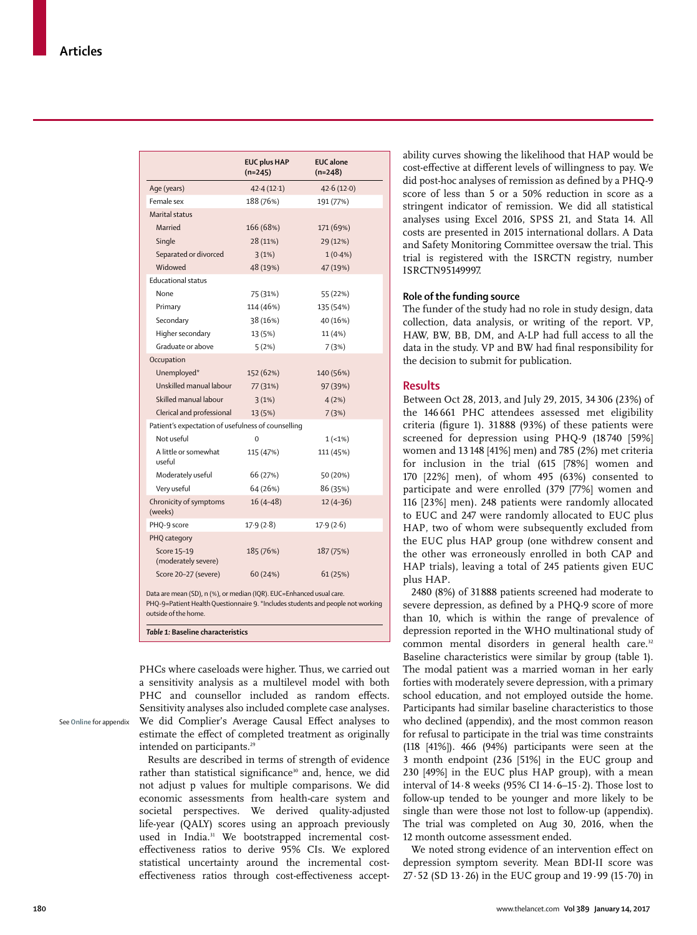| <b>EUC plus HAP</b><br>$(n=245)$ | <b>EUC</b> alone<br>$(n=248)$                      |
|----------------------------------|----------------------------------------------------|
| 42.4(12.1)                       | 42.6(12.0)                                         |
| 188 (76%)                        | 191 (77%)                                          |
|                                  |                                                    |
| 166 (68%)                        | 171 (69%)                                          |
| 28 (11%)                         | 29 (12%)                                           |
| 3(1%)                            | $1(0.4\%)$                                         |
| 48 (19%)                         | 47 (19%)                                           |
|                                  |                                                    |
| 75 (31%)                         | 55 (22%)                                           |
| 114 (46%)                        | 135 (54%)                                          |
| 38 (16%)                         | 40 (16%)                                           |
| 13 (5%)                          | 11 (4%)                                            |
| 5(2%)                            | 7 (3%)                                             |
|                                  |                                                    |
| 152 (62%)                        | 140 (56%)                                          |
| 77 (31%)                         | 97 (39%)                                           |
| 3(1%)                            | 4(2%)                                              |
| 13 (5%)                          | 7(3%)                                              |
|                                  |                                                    |
| $\Omega$                         | $1(-1%)$                                           |
| 115 (47%)                        | 111 (45%)                                          |
| 66 (27%)                         | 50 (20%)                                           |
| 64 (26%)                         | 86 (35%)                                           |
| $16(4-48)$                       | $12(4-36)$                                         |
| 17.9(2.8)                        | 17.9(2.6)                                          |
|                                  |                                                    |
| 185 (76%)                        | 187 (75%)                                          |
| 60 (24%)                         | 61(25%)                                            |
|                                  | Patient's expectation of usefulness of counselling |

Data are mean (SD), n (%), or median (IQR). EUC=Enhanced usual care. PHQ-9=Patient Health Questionnaire 9. \*Includes students and people not working outside of the home.

*Table 1:* **Baseline characteristics** 

PHCs where caseloads were higher. Thus, we carried out a sensitivity analysis as a multilevel model with both PHC and counsellor included as random effects. Sensitivity analyses also included complete case analyses. We did Complier's Average Causal Effect analyses to estimate the effect of completed treatment as originally intended on participants.<sup>29</sup>

Results are described in terms of strength of evidence rather than statistical significance<sup>30</sup> and, hence, we did not adjust p values for multiple comparisons. We did economic assessments from health-care system and societal perspectives. We derived quality-adjusted life-year (QALY) scores using an approach previously used in India.<sup>31</sup> We bootstrapped incremental costeffectiveness ratios to derive 95% CIs. We explored statistical uncertainty around the incremental costeffectiveness ratios through cost-effectiveness acceptability curves showing the likelihood that HAP would be cost-effective at different levels of willingness to pay. We did post-hoc analyses of remission as defined by a PHQ-9 score of less than 5 or a 50% reduction in score as a stringent indicator of remission. We did all statistical analyses using Excel 2016, SPSS 21, and Stata 14. All costs are presented in 2015 international dollars. A Data and Safety Monitoring Committee oversaw the trial. This trial is registered with the ISRCTN registry, number ISRCTN95149997.

## **Role of the funding source**

The funder of the study had no role in study design, data collection, data analysis, or writing of the report. VP, HAW, BW, BB, DM, and A-LP had full access to all the data in the study. VP and BW had final responsibility for the decision to submit for publication.

## **Results**

Between Oct 28, 2013, and July 29, 2015, 34 306 (23%) of the 146 661 PHC attendees assessed met eligibility criteria (figure 1). 31888 (93%) of these patients were screened for depression using PHQ-9 (18740 [59%] women and 13 148 [41%] men) and 785 (2%) met criteria for inclusion in the trial (615 [78%] women and 170 [22%] men), of whom 495 (63%) consented to participate and were enrolled (379 [77%] women and 116 [23%] men). 248 patients were randomly allocated to EUC and 247 were randomly allocated to EUC plus HAP, two of whom were subsequently excluded from the EUC plus HAP group (one withdrew consent and the other was erroneously enrolled in both CAP and HAP trials), leaving a total of 245 patients given EUC plus HAP.

2480 (8%) of 31 888 patients screened had moderate to severe depression, as defined by a PHQ-9 score of more than 10, which is within the range of prevalence of depression reported in the WHO multinational study of common mental disorders in general health care.<sup>32</sup> Baseline characteristics were similar by group (table 1). The modal patient was a married woman in her early forties with moderately severe depression, with a primary school education, and not employed outside the home. Participants had similar baseline characteristics to those who declined (appendix), and the most common reason for refusal to participate in the trial was time constraints (118 [41%]). 466 (94%) participants were seen at the 3 month endpoint (236 [51%] in the EUC group and 230 [49%] in the EUC plus HAP group), with a mean interval of  $14.8$  weeks (95% CI  $14.6-15.2$ ). Those lost to follow-up tended to be younger and more likely to be single than were those not lost to follow-up (appendix). The trial was completed on Aug 30, 2016, when the 12 month outcome assessment ended.

We noted strong evidence of an intervention effect on depression symptom severity. Mean BDI-II score was 27 $-52$  (SD 13 $-26$ ) in the EUC group and 19 $-99$  (15 $-70$ ) in

See **Online** for appendix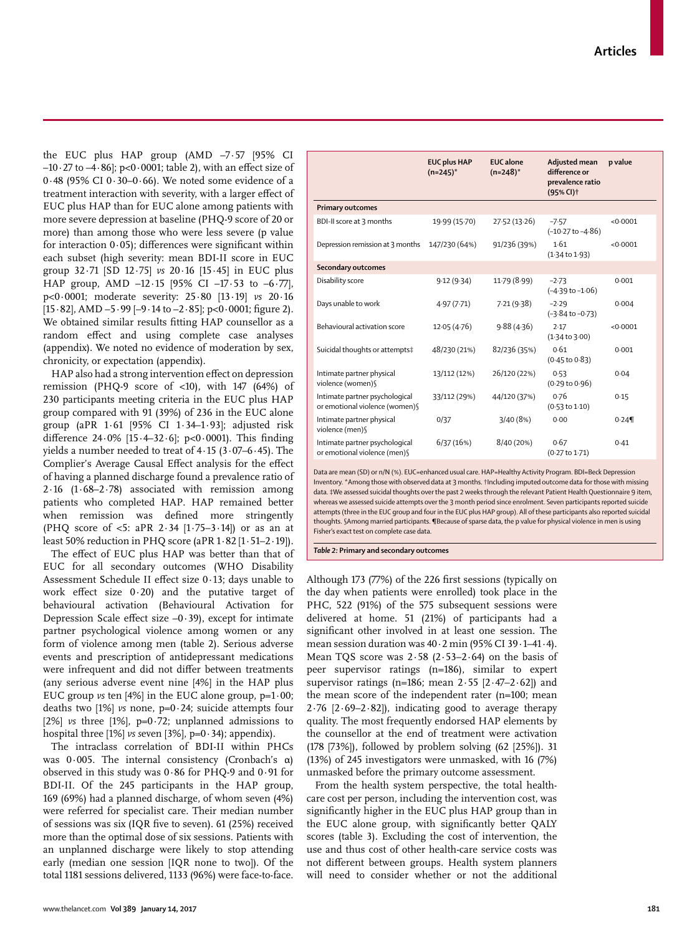the EUC plus HAP group (AMD –7·57 [95% CI  $-10.27$  to  $-4.86$ ]; p<0.0001; table 2), with an effect size of 0·48 (95% CI 0·30–0·66). We noted some evidence of a treatment interaction with severity, with a larger effect of EUC plus HAP than for EUC alone among patients with more severe depression at baseline (PHQ-9 score of 20 or more) than among those who were less severe (p value for interaction  $0.05$ ); differences were significant within each subset (high severity: mean BDI-II score in EUC group 32·71 [SD 12·75] *vs* 20·16 [15·45] in EUC plus HAP group, AMD –12·15 [95% CI –17·53 to –6·77], p<0·0001; moderate severity: 25·80 [13·19] *vs* 20·16  $[15.82]$ , AMD  $-5.99$   $[-9.14$  to  $-2.85]$ ; p<0.0001; figure 2). We obtained similar results fitting HAP counsellor as a random effect and using complete case analyses (appendix). We noted no evidence of moderation by sex, chronicity, or expectation (appendix).

HAP also had a strong intervention effect on depression remission (PHQ-9 score of  $\langle 10 \rangle$ , with 147 (64%) of 230 participants meeting criteria in the EUC plus HAP group compared with 91 (39%) of 236 in the EUC alone group (aPR 1·61 [95% CI 1·34–1·93]; adjusted risk difference  $24.0\%$  [15.4–32.6]; p<0.0001). This finding yields a number needed to treat of 4·15 (3·07–6·45). The Complier's Average Causal Effect analysis for the effect of having a planned discharge found a prevalence ratio of 2·16 (1·68–2·78) associated with remission among patients who completed HAP. HAP remained better when remission was defined more stringently (PHQ score of <5: aPR 2·34 [1·75–3·14]) or as an at least 50% reduction in PHQ score (aPR 1·82 [1·51–2·19]).

The effect of EUC plus HAP was better than that of EUC for all secondary outcomes (WHO Disability Assessment Schedule II effect size  $0.13$ ; days unable to work effect size  $0.20$ ) and the putative target of behavioural activation (Behavioural Activation for Depression Scale effect size  $-0.39$ ), except for intimate partner psychological violence among women or any form of violence among men (table 2). Serious adverse events and prescription of antidepressant medications were infrequent and did not differ between treatments (any serious adverse event nine [4%] in the HAP plus EUC group  $\nu s$  ten [4%] in the EUC alone group,  $p=1.00$ ; deaths two [1%] *vs* none, p=0·24; suicide attempts four [2%] *vs* three [1%], p=0·72; unplanned admissions to hospital three [1%] *vs s*even [3%], p=0·34); appendix).

The intraclass correlation of BDI-II within PHCs was 0·005. The internal consistency (Cronbach's α) observed in this study was 0·86 for PHQ-9 and 0·91 for BDI-II. Of the 245 participants in the HAP group, 169 (69%) had a planned discharge, of whom seven (4%) were referred for specialist care. Their median number of sessions was six (IQR five to seven). 61 (25%) received more than the optimal dose of six sessions. Patients with an unplanned discharge were likely to stop attending early (median one session [IQR none to two]). Of the total 1181 sessions delivered, 1133 (96%) were face-to-face.

|                                                                 | <b>EUC plus HAP</b><br>$(n=245)^*$ | <b>EUC</b> alone<br>$(n=248)^*$ | Adjusted mean<br>difference or<br>prevalence ratio<br>(95% CI) <sup>+</sup> | p value  |
|-----------------------------------------------------------------|------------------------------------|---------------------------------|-----------------------------------------------------------------------------|----------|
| <b>Primary outcomes</b>                                         |                                    |                                 |                                                                             |          |
| BDI-II score at 3 months                                        | 19.99 (15.70)                      | 27.52(13.26)                    | $-7.57$<br>$(-10.27 \text{ to } -4.86)$                                     | <0.0001  |
| Depression remission at 3 months                                | 147/230 (64%)                      | 91/236 (39%)                    | 1.61<br>$(1.34 \text{ to } 1.93)$                                           | < 0.0001 |
| <b>Secondary outcomes</b>                                       |                                    |                                 |                                                                             |          |
| Disability score                                                | 9.12(9.34)                         | 11.79(8.99)                     | $-2.73$<br>$(-4.39 \text{ to } -1.06)$                                      | 0.001    |
| Days unable to work                                             | 4.97(7.71)                         | 7.21(9.38)                      | $-2.29$<br>$(-3.84$ to $-0.73)$                                             | 0.004    |
| Behavioural activation score                                    | 12.05(4.76)                        | 9.88(4.36)                      | 2.17<br>$(1.34 \text{ to } 3.00)$                                           | < 0.0001 |
| Suicidal thoughts or attempts‡                                  | 48/230 (21%)                       | 82/236 (35%)                    | 0.61<br>(0.45 to 0.83)                                                      | 0.001    |
| Intimate partner physical<br>violence (women)                   | 13/112 (12%)                       | 26/120 (22%)                    | 0.53<br>$(0.29 \text{ to } 0.96)$                                           | 0.04     |
| Intimate partner psychological<br>or emotional violence (women) | 33/112 (29%)                       | 44/120 (37%)                    | 0.76<br>$(0.53 \text{ to } 1.10)$                                           | 0.15     |
| Intimate partner physical<br>violence (men)                     | 0/37                               | 3/40(8%)                        | 0.00                                                                        | 0.24     |
| Intimate partner psychological<br>or emotional violence (men)§  | 6/37(16%)                          | 8/40 (20%)                      | 0.67<br>(0.27 to 1.71)                                                      | 0.41     |

Data are mean (SD) or n/N (%). EUC=enhanced usual care. HAP=Healthy Activity Program. BDI=Beck Depression Inventory. \*Among those with observed data at 3 months. †Including imputed outcome data for those with missing data. ‡We assessed suicidal thoughts over the past 2 weeks through the relevant Patient Health Questionnaire 9 item, whereas we assessed suicide attempts over the 3 month period since enrolment. Seven participants reported suicide attempts (three in the EUC group and four in the EUC plus HAP group). All of these participants also reported suicidal thoughts. §Among married participants. ¶Because of sparse data, the p value for physical violence in men is using Fisher's exact test on complete case data.

*Table 2:* **Primary and secondary outcomes** 

Although 173 (77%) of the 226 first sessions (typically on the day when patients were enrolled) took place in the PHC, 522 (91%) of the 575 subsequent sessions were delivered at home. 51 (21%) of participants had a significant other involved in at least one session. The mean session duration was 40·2 min (95% CI 39·1–41·4). Mean TQS score was  $2.58$  ( $2.53-2.64$ ) on the basis of peer supervisor ratings (n=186), similar to expert supervisor ratings (n=186; mean  $2.55$  [ $2.47-2.62$ ]) and the mean score of the independent rater (n=100; mean  $2.76$  [ $2.69-2.82$ ]), indicating good to average therapy quality. The most frequently endorsed HAP elements by the counsellor at the end of treatment were activation (178 [73%]), followed by problem solving (62 [25%]). 31 (13%) of 245 investigators were unmasked, with 16 (7%) unmasked before the primary outcome assessment.

From the health system perspective, the total healthcare cost per person, including the intervention cost, was significantly higher in the EUC plus HAP group than in the EUC alone group, with significantly better QALY scores (table 3). Excluding the cost of intervention, the use and thus cost of other health-care service costs was not different between groups. Health system planners will need to consider whether or not the additional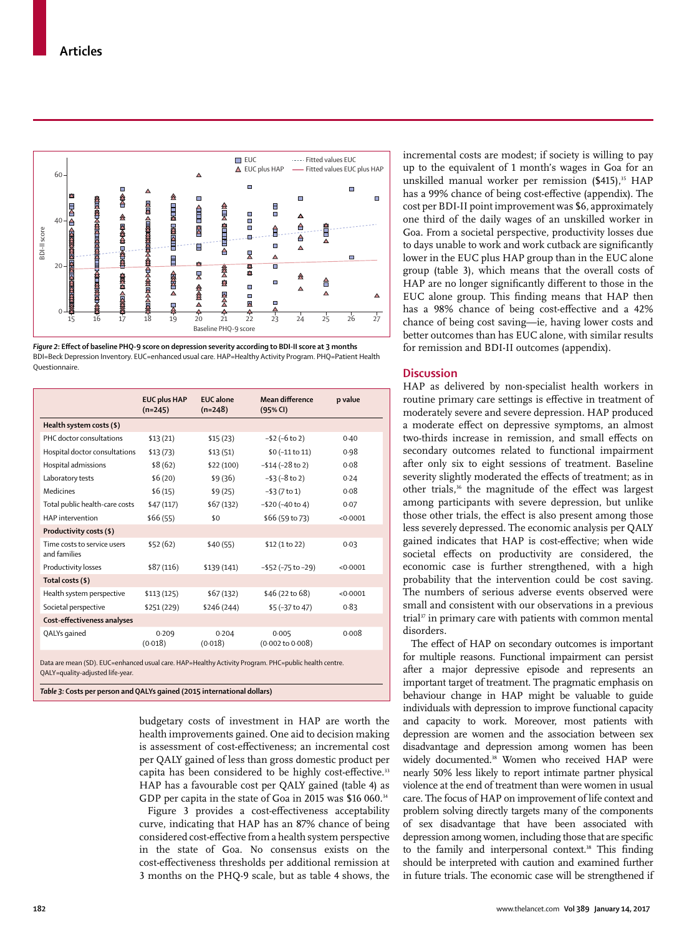



|                                             | <b>EUC plus HAP</b><br>$(n=245)$ | <b>EUC</b> alone<br>$(n=248)$ | <b>Mean difference</b><br>(95% CI) | p value  |
|---------------------------------------------|----------------------------------|-------------------------------|------------------------------------|----------|
| Health system costs (\$)                    |                                  |                               |                                    |          |
| PHC doctor consultations                    | \$13(21)                         | \$15(23)                      | $-52 (-6 to 2)$                    | 0.40     |
| Hospital doctor consultations               | \$13(73)                         | \$13(51)                      | \$0 (-11 to 11)                    | 0.98     |
| Hospital admissions                         | \$8(62)                          | \$22 (100)                    | $-$14 (-28 to 2)$                  | 0.08     |
| Laboratory tests                            | \$6(20)                          | \$9(36)                       | $-53(-8 to 2)$                     | 0.24     |
| Medicines                                   | \$6(15)                          | \$9(25)                       | $-53(7 to 1)$                      | 0.08     |
| Total public health-care costs              | \$47(117)                        | \$67(132)                     | $-520 (-40 to 4)$                  | 0.07     |
| HAP intervention                            | \$66(55)                         | \$0                           | \$66 (59 to 73)                    | < 0.0001 |
| Productivity costs (\$)                     |                                  |                               |                                    |          |
| Time costs to service users<br>and families | \$52(62)                         | \$40 (55)                     | \$12 (1 to 22)                     | 0.03     |
| Productivity losses                         | \$87(116)                        | \$139 (141)                   | $-$ \$52 ( $-$ 75 to $-29$ )       | < 0.0001 |
| Total costs (\$)                            |                                  |                               |                                    |          |
| Health system perspective                   | \$113(125)                       | \$67(132)                     | \$46 (22 to 68)                    | < 0.0001 |
| Societal perspective                        | \$251 (229)                      | \$246 (244)                   | \$5 (-37 to 47)                    | 0.83     |
| Cost-effectiveness analyses                 |                                  |                               |                                    |          |
| QALYs gained                                | 0.209<br>(0.018)                 | 0.204<br>(0.018)              | 0.005<br>(0.002 to 0.008)          | 0.008    |
|                                             | .                                |                               |                                    |          |

enhanced usual care. HAP=Healthy Activity Program. PHC=pu QALY=quality-adjusted life-year.

*Table 3:* **Costs per person and QALYs gained (2015 international dollars)**

budgetary costs of investment in HAP are worth the health improvements gained. One aid to decision making is assessment of cost-effectiveness; an incremental cost per QALY gained of less than gross domestic product per capita has been considered to be highly cost-effective.<sup>33</sup> HAP has a favourable cost per QALY gained (table 4) as GDP per capita in the state of Goa in 2015 was \$16 060.<sup>34</sup>

Figure 3 provides a cost-effectiveness acceptability curve, indicating that HAP has an 87% chance of being considered cost-effective from a health system perspective in the state of Goa. No consensus exists on the cost-effectiveness thresholds per additional remission at 3 months on the PHQ-9 scale, but as table 4 shows, the incremental costs are modest; if society is willing to pay up to the equivalent of 1 month's wages in Goa for an unskilled manual worker per remission (\$415),<sup>35</sup> HAP has a 99% chance of being cost-effective (appendix). The cost per BDI-II point improvement was \$6, approximately one third of the daily wages of an unskilled worker in Goa. From a societal perspective, productivity losses due to days unable to work and work cutback are significantly lower in the EUC plus HAP group than in the EUC alone group (table 3), which means that the overall costs of HAP are no longer significantly different to those in the EUC alone group. This finding means that HAP then has a 98% chance of being cost-effective and a 42% chance of being cost saving—ie, having lower costs and better outcomes than has EUC alone, with similar results for remission and BDI-II outcomes (appendix).

## **Discussion**

HAP as delivered by non-specialist health workers in routine primary care settings is effective in treatment of moderately severe and severe depression. HAP produced a moderate effect on depressive symptoms, an almost two-thirds increase in remission, and small effects on secondary outcomes related to functional impairment after only six to eight sessions of treatment. Baseline severity slightly moderated the effects of treatment; as in other trials,<sup>36</sup> the magnitude of the effect was largest among participants with severe depression, but unlike those other trials, the effect is also present among those less severely depressed. The economic analysis per QALY gained indicates that HAP is cost-effective; when wide societal effects on productivity are considered, the economic case is further strengthened, with a high probability that the intervention could be cost saving. The numbers of serious adverse events observed were small and consistent with our observations in a previous trial<sup>37</sup> in primary care with patients with common mental disorders.

The effect of HAP on secondary outcomes is important for multiple reasons. Functional impairment can persist after a major depressive episode and represents an important target of treatment. The pragmatic emphasis on behaviour change in HAP might be valuable to guide individuals with depression to improve functional capacity and capacity to work. Moreover, most patients with depression are women and the association between sex disadvantage and depression among women has been widely documented.<sup>38</sup> Women who received HAP were nearly 50% less likely to report intimate partner physical violence at the end of treatment than were women in usual care. The focus of HAP on improvement of life context and problem solving directly targets many of the components of sex disadvantage that have been associated with depression among women, including those that are specific to the family and interpersonal context.<sup>38</sup> This finding should be interpreted with caution and examined further in future trials. The economic case will be strengthened if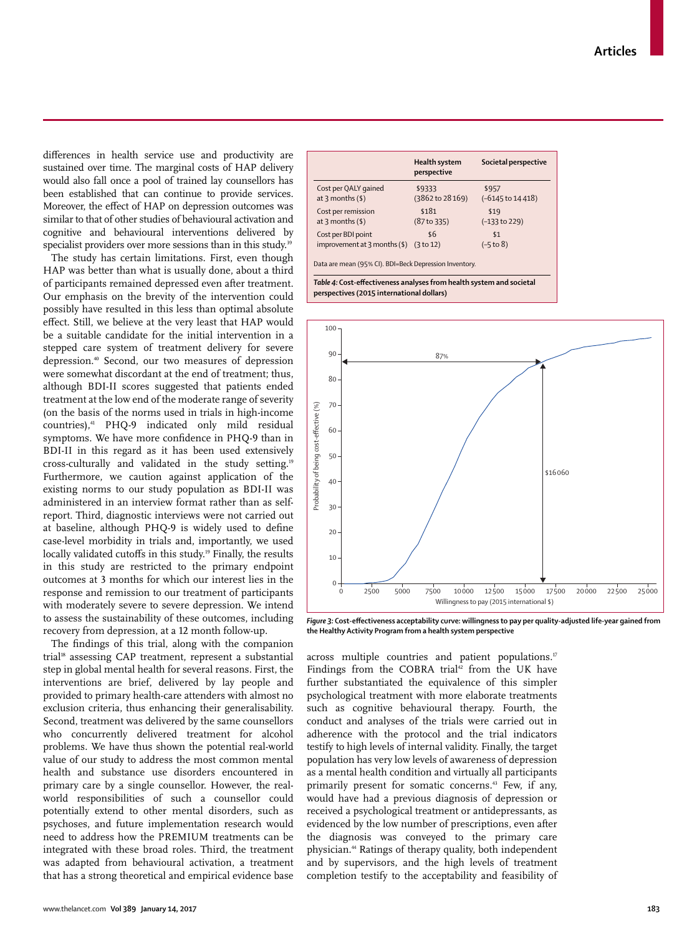differences in health service use and productivity are sustained over time. The marginal costs of HAP delivery would also fall once a pool of trained lay counsellors has been established that can continue to provide services. Moreover, the effect of HAP on depression outcomes was similar to that of other studies of behavioural activation and cognitive and behavioural interventions delivered by specialist providers over more sessions than in this study.<sup>39</sup>

The study has certain limitations. First, even though HAP was better than what is usually done, about a third of participants remained depressed even after treatment. Our emphasis on the brevity of the intervention could possibly have resulted in this less than optimal absolute effect. Still, we believe at the very least that HAP would be a suitable candidate for the initial intervention in a stepped care system of treatment delivery for severe depression.40 Second, our two measures of depression were somewhat discordant at the end of treatment; thus, although BDI-II scores suggested that patients ended treatment at the low end of the moderate range of severity (on the basis of the norms used in trials in high-income countries),<sup>41</sup> PHQ-9 indicated only mild residual symptoms. We have more confidence in PHQ-9 than in BDI-II in this regard as it has been used extensively cross-culturally and validated in the study setting.19 Furthermore, we caution against application of the existing norms to our study population as BDI-II was administered in an interview format rather than as selfreport. Third, diagnostic interviews were not carried out at baseline, although PHQ-9 is widely used to define case-level morbidity in trials and, importantly, we used locally validated cutoffs in this study.<sup>19</sup> Finally, the results in this study are restricted to the primary endpoint outcomes at 3 months for which our interest lies in the response and remission to our treatment of participants with moderately severe to severe depression. We intend to assess the sustainability of these outcomes, including recovery from depression, at a 12 month follow-up.

The findings of this trial, along with the companion trial<sup>18</sup> assessing CAP treatment, represent a substantial step in global mental health for several reasons. First, the interventions are brief, delivered by lay people and provided to primary health-care attenders with almost no exclusion criteria, thus enhancing their generalisability. Second, treatment was delivered by the same counsellors who concurrently delivered treatment for alcohol problems. We have thus shown the potential real-world value of our study to address the most common mental health and substance use disorders encountered in primary care by a single counsellor. However, the realworld responsibilities of such a counsellor could potentially extend to other mental disorders, such as psychoses, and future implementation research would need to address how the PREMIUM treatments can be integrated with these broad roles. Third, the treatment was adapted from behavioural activation, a treatment that has a strong theoretical and empirical evidence base

|                                 | Health system<br>perspective | Societal perspective        |
|---------------------------------|------------------------------|-----------------------------|
| Cost per QALY gained            | \$9333                       | \$957                       |
| at $3$ months $($ math)         | (3862 to 28169)              | $(-6145 \text{ to } 14418)$ |
| Cost per remission              | \$181                        | \$19                        |
| at $3$ months $(5)$             | (87 to 335)                  | $(-133$ to 229)             |
| Cost per BDI point              | \$6                          | \$1                         |
| improvement at $3$ months $(5)$ | (3 to 12)                    | $(-5 \text{ to } 8)$        |

Data are mean (95% CI). BDI=Beck Depression Inventory.

Table 4: Cost-effectiveness analyses from health system and societal **perspectives (2015 international dollars)**



*Figure 3:* **Cost-eff ectiveness acceptability curve: willingness to pay per quality-adjusted life-year gained from the Healthy Activity Program from a health system perspective**

across multiple countries and patient populations.<sup>17</sup> Findings from the COBRA trial<sup>42</sup> from the UK have further substantiated the equivalence of this simpler psychological treatment with more elaborate treatments such as cognitive behavioural therapy. Fourth, the conduct and analyses of the trials were carried out in adherence with the protocol and the trial indicators testify to high levels of internal validity. Finally, the target population has very low levels of awareness of depression as a mental health condition and virtually all participants primarily present for somatic concerns.43 Few, if any, would have had a previous diagnosis of depression or received a psychological treatment or antidepressants, as evidenced by the low number of prescriptions, even after the diagnosis was conveyed to the primary care physician.44 Ratings of therapy quality, both independent and by supervisors, and the high levels of treatment completion testify to the acceptability and feasibility of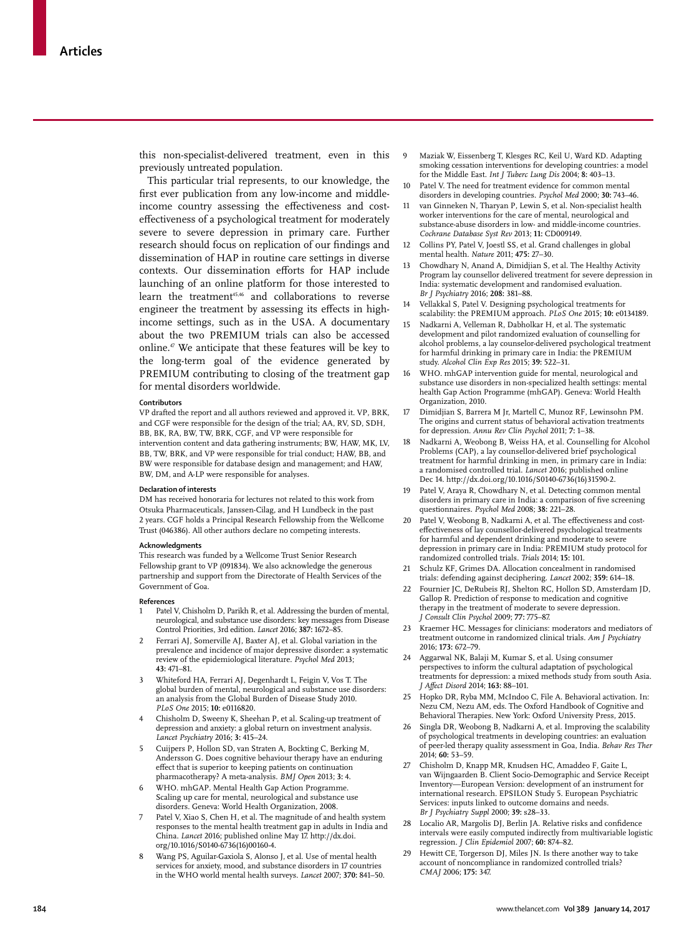this non-specialist-delivered treatment, even in this previously untreated population.

This particular trial represents, to our knowledge, the first ever publication from any low-income and middleincome country assessing the effectiveness and costeffectiveness of a psychological treatment for moderately severe to severe depression in primary care. Further research should focus on replication of our findings and dissemination of HAP in routine care settings in diverse contexts. Our dissemination efforts for HAP include launching of an online platform for those interested to learn the treatment<sup>45,46</sup> and collaborations to reverse engineer the treatment by assessing its effects in highincome settings, such as in the USA. A documentary about the two PREMIUM trials can also be accessed online. $47$  We anticipate that these features will be key to the long-term goal of the evidence generated by PREMIUM contributing to closing of the treatment gap for mental disorders worldwide.

#### **Contributors**

VP drafted the report and all authors reviewed and approved it. VP, BRK, and CGF were responsible for the design of the trial; AA, RV, SD, SDH, BB, BK, RA, BW, TW, BRK, CGF, and VP were responsible for intervention content and data gathering instruments; BW, HAW, MK, LV, BB, TW, BRK, and VP were responsible for trial conduct; HAW, BB, and BW were responsible for database design and management; and HAW, BW, DM, and A-LP were responsible for analyses.

#### **Declaration of interests**

DM has received honoraria for lectures not related to this work from Otsuka Pharmaceuticals, Janssen-Cilag, and H Lundbeck in the past 2 years. CGF holds a Principal Research Fellowship from the Wellcome Trust (046386). All other authors declare no competing interests.

#### **Acknowledgments**

This research was funded by a Wellcome Trust Senior Research Fellowship grant to VP (091834). We also acknowledge the generous partnership and support from the Directorate of Health Services of the Government of Goa.

**References**

- 1 Patel V, Chisholm D, Parikh R, et al. Addressing the burden of mental, neurological, and substance use disorders: key messages from Disease Control Priorities, 3rd edition. *Lancet* 2016; **387:** 1672–85.
- 2 Ferrari AJ, Somerville AJ, Baxter AJ, et al. Global variation in the prevalence and incidence of major depressive disorder: a systematic review of the epidemiological literature. *Psychol Med* 2013; **43:** 471–81.
- 3 Whiteford HA, Ferrari AJ, Degenhardt L, Feigin V, Vos T. The global burden of mental, neurological and substance use disorders: an analysis from the Global Burden of Disease Study 2010. *PLoS One* 2015; **10:** e0116820.
- 4 Chisholm D, Sweeny K, Sheehan P, et al. Scaling-up treatment of depression and anxiety: a global return on investment analysis. *Lancet Psychiatry* 2016; **3:** 415–24.
- 5 Cuijpers P, Hollon SD, van Straten A, Bockting C, Berking M, Andersson G. Does cognitive behaviour therapy have an enduring effect that is superior to keeping patients on continuation pharmacotherapy? A meta-analysis. *BMJ Open* 2013; **3:** 4.
- 6 WHO. mhGAP. Mental Health Gap Action Programme. Scaling up care for mental, neurological and substance use disorders. Geneva: World Health Organization, 2008.
- 7 Patel V, Xiao S, Chen H, et al. The magnitude of and health system responses to the mental health treatment gap in adults in India and China. *Lancet* 2016; published online May 17. http://dx.doi. org/10.1016/S0140-6736(16)00160-4.
- Wang PS, Aguilar-Gaxiola S, Alonso J, et al. Use of mental health services for anxiety, mood, and substance disorders in 17 countries in the WHO world mental health surveys. *Lancet* 2007; **370:** 841–50.
- 9 Maziak W, Eissenberg T, Klesges RC, Keil U, Ward KD. Adapting smoking cessation interventions for developing countries: a model for the Middle East. *Int J Tuberc Lung Dis* 2004; **8:** 403–13.
- 10 Patel V. The need for treatment evidence for common mental disorders in developing countries. *Psychol Med* 2000; **30:** 743–46.
- 11 van Ginneken N, Tharyan P, Lewin S, et al. Non-specialist health worker interventions for the care of mental, neurological and substance-abuse disorders in low- and middle-income countries. *Cochrane Database Syst Rev* 2013; **11:** CD009149.
- 12 Collins PY, Patel V, Joestl SS, et al. Grand challenges in global mental health. *Nature* 2011; **475:** 27–30.
- 13 Chowdhary N, Anand A, Dimidjian S, et al. The Healthy Activity Program lay counsellor delivered treatment for severe depression in India: systematic development and randomised evaluation. *Br J Psychiatry* 2016; **208:** 381–88.
- Vellakkal S, Patel V. Designing psychological treatments for scalability: the PREMIUM approach. *PLoS One* 2015; **10:** e0134189.
- 15 Nadkarni A, Velleman R, Dabholkar H, et al. The systematic development and pilot randomized evaluation of counselling for alcohol problems, a lay counselor-delivered psychological treatment for harmful drinking in primary care in India: the PREMIUM study. *Alcohol Clin Exp Res* 2015; **39:** 522–31.
- 16 WHO. mhGAP intervention guide for mental, neurological and substance use disorders in non-specialized health settings: mental health Gap Action Programme (mhGAP). Geneva: World Health Organization, 2010.
- 17 Dimidjian S, Barrera M Jr, Martell C, Munoz RF, Lewinsohn PM. The origins and current status of behavioral activation treatments for depression. *Annu Rev Clin Psychol* 2011; **7:** 1–38.
- Nadkarni A, Weobong B, Weiss HA, et al. Counselling for Alcohol Problems (CAP), a lay counsellor-delivered brief psychological treatment for harmful drinking in men, in primary care in India: a randomised controlled trial. *Lancet* 2016; published online Dec 14. http://dx.doi.org/10.1016/S0140-6736(16)31590-2.
- 19 Patel V, Araya R, Chowdhary N, et al. Detecting common mental disorders in primary care in India: a comparison of five screening questionnaires. *Psychol Med* 2008; **38:** 221–28.
- 20 Patel V, Weobong B, Nadkarni A, et al. The effectiveness and costeffectiveness of lay counsellor-delivered psychological treatments for harmful and dependent drinking and moderate to severe depression in primary care in India: PREMIUM study protocol for randomized controlled trials. *Trials* 2014; **15:** 101.
- 21 Schulz KF, Grimes DA. Allocation concealment in randomised trials: defending against deciphering. *Lancet* 2002; **359:** 614–18.
- 22 Fournier JC, DeRubeis RJ, Shelton RC, Hollon SD, Amsterdam JD, Gallop R. Prediction of response to medication and cognitive therapy in the treatment of moderate to severe depression. *J Consult Clin Psychol* 2009; **77:** 775–87.
- 23 Kraemer HC. Messages for clinicians: moderators and mediators of treatment outcome in randomized clinical trials. *Am J Psychiatry* 2016; **173:** 672–79.
- Aggarwal NK, Balaji M, Kumar S, et al. Using consumer perspectives to inform the cultural adaptation of psychological treatments for depression: a mixed methods study from south Asia. *J Aff ect Disord* 2014; **163:** 88–101.
- 25 Hopko DR, Ryba MM, McIndoo C, File A. Behavioral activation. In: Nezu CM, Nezu AM, eds. The Oxford Handbook of Cognitive and Behavioral Therapies. New York: Oxford University Press, 2015.
- 26 Singla DR, Weobong B, Nadkarni A, et al. Improving the scalability of psychological treatments in developing countries: an evaluation of peer-led therapy quality assessment in Goa, India. *Behav Res Ther* 2014; **60:** 53–59.
- 27 Chisholm D, Knapp MR, Knudsen HC, Amaddeo F, Gaite L, van Wijngaarden B. Client Socio-Demographic and Service Receipt Inventory—European Version: development of an instrument for international research. EPSILON Study 5. European Psychiatric Services: inputs linked to outcome domains and needs. *Br J Psychiatry Suppl* 2000; **39:** s28–33.
- 28 Localio AR, Margolis DJ, Berlin JA, Relative risks and confidence intervals were easily computed indirectly from multivariable logistic regression. *J Clin Epidemiol* 2007; **60:** 874–82.
- Hewitt CE, Torgerson DJ, Miles JN. Is there another way to take account of noncompliance in randomized controlled trials? *CMAJ* 2006; **175:** 347.